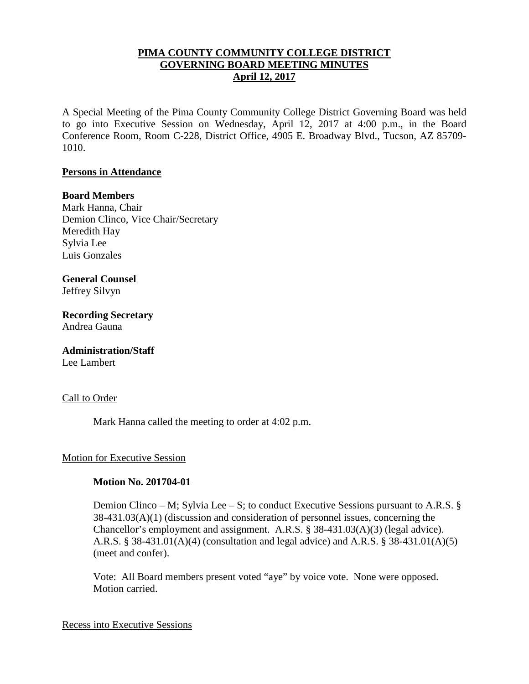## **PIMA COUNTY COMMUNITY COLLEGE DISTRICT GOVERNING BOARD MEETING MINUTES April 12, 2017**

A Special Meeting of the Pima County Community College District Governing Board was held to go into Executive Session on Wednesday, April 12, 2017 at 4:00 p.m., in the Board Conference Room, Room C-228, District Office, 4905 E. Broadway Blvd., Tucson, AZ 85709- 1010.

### **Persons in Attendance**

### **Board Members**

Mark Hanna, Chair Demion Clinco, Vice Chair/Secretary Meredith Hay Sylvia Lee Luis Gonzales

# **General Counsel**

Jeffrey Silvyn

**Recording Secretary** Andrea Gauna

# **Administration/Staff**

Lee Lambert

### Call to Order

Mark Hanna called the meeting to order at 4:02 p.m.

### Motion for Executive Session

### **Motion No. 201704-01**

Demion Clinco – M; Sylvia Lee – S; to conduct Executive Sessions pursuant to A.R.S. § 38-431.03(A)(1) (discussion and consideration of personnel issues, concerning the Chancellor's employment and assignment. A.R.S. § 38-431.03(A)(3) (legal advice). A.R.S. § 38-431.01(A)(4) (consultation and legal advice) and A.R.S. § 38-431.01(A)(5) (meet and confer).

Vote: All Board members present voted "aye" by voice vote. None were opposed. Motion carried.

#### Recess into Executive Sessions